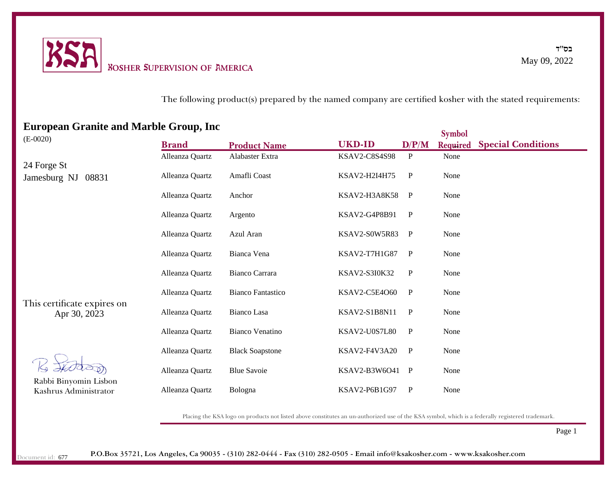

The following product(s) prepared by the named company are certified kosher with the stated requirements:

# This certificate expires on **Brand Product Name UKD-ID D/P/M Symbol Required Special Conditions** Rabbi Binyomin Lisbon Kashrus Administrator (E-0020) Apr 30, 2023 24 Forge St Jamesburg NJ 08831 Alleanza Quartz Alabaster Extra KSAV2-C8S4S98 P None Alleanza Quartz Amafli Coast KSAV2-H2I4H75 P None Alleanza Quartz Anchor KSAV2-H3A8K58 P None Alleanza Quartz Argento KSAV2-G4P8B91 P None Alleanza Quartz Azul Aran KSAV2-S0W5R83 P None Alleanza Quartz Bianca Vena KSAV2-T7H1G87 P None Alleanza Quartz Bianco Carrara KSAV2-S3I0K32 P None Alleanza Quartz Bianco Fantastico KSAV2-C5E4O60 P None Alleanza Quartz Bianco Lasa KSAV2-S1B8N11 P None Alleanza Quartz Bianco Venatino KSAV2-U0S7L80 P None Alleanza Quartz Black Soapstone KSAV2-F4V3A20 P None Alleanza Quartz Blue Savoie KSAV2-B3W6O41 P None Alleanza Quartz Bologna KSAV2-P6B1G97 P None

**European Granite and Marble Group, Inc**

Placing the KSA logo on products not listed above constitutes an un-authorized use of the KSA symbol, which is a federally registered trademark.

Page 1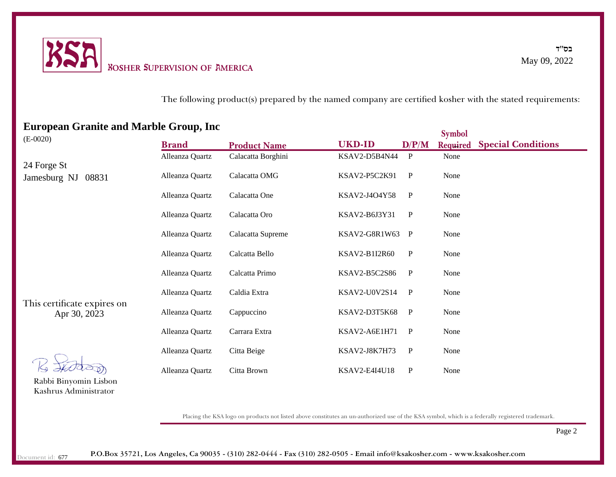

The following product(s) prepared by the named company are certified kosher with the stated requirements:

| -----<br><b>STAND WHEN THE STE</b>          |                 |                     |                      |              | <b>Symbol</b>   |                           |
|---------------------------------------------|-----------------|---------------------|----------------------|--------------|-----------------|---------------------------|
| $(E-0020)$                                  | <b>Brand</b>    | <b>Product Name</b> | <b>UKD-ID</b>        | D/P/M        | <b>Required</b> | <b>Special Conditions</b> |
|                                             | Alleanza Quartz | Calacatta Borghini  | KSAV2-D5B4N44        | P            | None            |                           |
| 24 Forge St                                 |                 |                     |                      |              |                 |                           |
| Jamesburg NJ<br>08831                       | Alleanza Quartz | Calacatta OMG       | KSAV2-P5C2K91        | $\mathbf P$  | None            |                           |
|                                             | Alleanza Quartz | Calacatta One       | KSAV2-J4O4Y58        | $\mathbf{P}$ | None            |                           |
|                                             | Alleanza Quartz | Calacatta Oro       | KSAV2-B6J3Y31        | $\mathbf{P}$ | None            |                           |
|                                             | Alleanza Quartz | Calacatta Supreme   | KSAV2-G8R1W63        | $\mathbf{P}$ | None            |                           |
|                                             | Alleanza Quartz | Calcatta Bello      | KSAV2-B1I2R60        | $\mathbf P$  | None            |                           |
| This certificate expires on<br>Apr 30, 2023 | Alleanza Quartz | Calcatta Primo      | KSAV2-B5C2S86        | $\mathbf{P}$ | None            |                           |
|                                             | Alleanza Quartz | Caldia Extra        | KSAV2-U0V2S14        | $\mathbf{P}$ | None            |                           |
|                                             | Alleanza Quartz | Cappuccino          | KSAV2-D3T5K68        | $\mathbf{P}$ | None            |                           |
|                                             | Alleanza Quartz | Carrara Extra       | KSAV2-A6E1H71        | $\mathbf{P}$ | None            |                           |
|                                             | Alleanza Quartz | Citta Beige         | KSAV2-J8K7H73        | $\mathbf{P}$ | None            |                           |
|                                             | Alleanza Quartz | Citta Brown         | <b>KSAV2-E4I4U18</b> | P            | None            |                           |

# **European Granite and Marble Group, Inc**

Rabbi Binyomin Lisbon Kashrus Administrator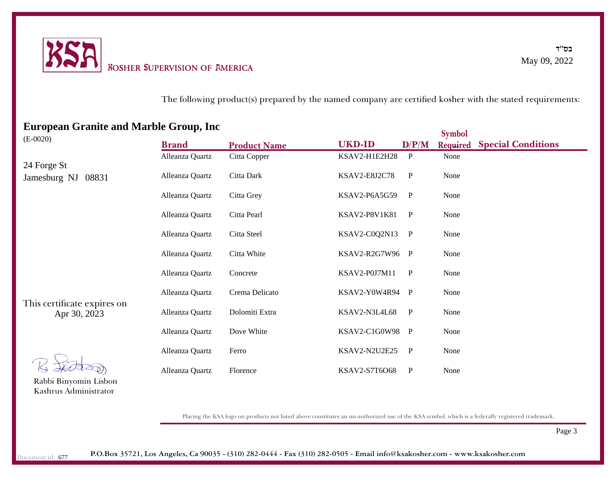

The following product(s) prepared by the named company are certified kosher with the stated requirements:

|                                             | $\blacksquare$  |                     |                 |              | <b>Symbol</b> |                           |
|---------------------------------------------|-----------------|---------------------|-----------------|--------------|---------------|---------------------------|
| $(E-0020)$                                  | <b>Brand</b>    | <b>Product Name</b> | <b>UKD-ID</b>   | D/P/M        | Required      | <b>Special Conditions</b> |
|                                             | Alleanza Quartz | Citta Copper        | KSAV2-H1E2H28   | P            | None          |                           |
| 24 Forge St<br>Jamesburg NJ<br>08831        | Alleanza Quartz | Citta Dark          | KSAV2-E8J2C78   | $\mathbf{P}$ | None          |                           |
|                                             | Alleanza Quartz | Citta Grey          | KSAV2-P6A5G59   | $\mathbf{P}$ | None          |                           |
|                                             | Alleanza Quartz | Citta Pearl         | KSAV2-P8V1K81   | $\mathbf{P}$ | None          |                           |
|                                             | Alleanza Quartz | Citta Steel         | KSAV2-C0Q2N13   | $\mathbf{P}$ | None          |                           |
|                                             | Alleanza Quartz | Citta White         | KSAV2-R2G7W96 P |              | None          |                           |
| This certificate expires on<br>Apr 30, 2023 | Alleanza Quartz | Concrete            | KSAV2-P0J7M11   | $\mathbf{P}$ | None          |                           |
|                                             | Alleanza Quartz | Crema Delicato      | KSAV2-Y0W4R94   | $\mathbf{P}$ | None          |                           |
|                                             | Alleanza Quartz | Dolomiti Extra      | KSAV2-N3L4L68   | $\mathbf{P}$ | None          |                           |
|                                             | Alleanza Quartz | Dove White          | KSAV2-C1G0W98 P |              | None          |                           |
|                                             | Alleanza Quartz | Ferro               | KSAV2-N2U2E25   | $\mathbf{P}$ | None          |                           |
| Rabbi Binyomin Lisbon                       | Alleanza Quartz | Florence            | KSAV2-S7T6O68   | $\mathbf{P}$ | None          |                           |
|                                             |                 |                     |                 |              |               |                           |

### **European Granite and Marble Group, Inc**

Placing the KSA logo on products not listed above constitutes an un-authorized use of the KSA symbol, which is a federally registered trademark.

Page 3

Kashrus Administrator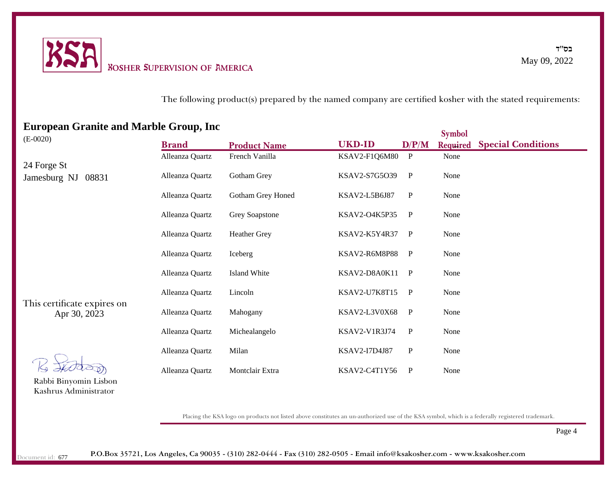

The following product(s) prepared by the named company are certified kosher with the stated requirements:

|                                             | $\blacksquare$  |                     |               |              | <b>Symbol</b> |                           |
|---------------------------------------------|-----------------|---------------------|---------------|--------------|---------------|---------------------------|
| $(E-0020)$                                  | <b>Brand</b>    | <b>Product Name</b> | <b>UKD-ID</b> | D/P/M        | Required      | <b>Special Conditions</b> |
|                                             | Alleanza Quartz | French Vanilla      | KSAV2-F1Q6M80 | $\mathbf{P}$ | None          |                           |
| 24 Forge St<br>08831<br>Jamesburg NJ        | Alleanza Quartz | Gotham Grey         | KSAV2-S7G5O39 | $\mathbf{P}$ | None          |                           |
|                                             | Alleanza Quartz | Gotham Grey Honed   | KSAV2-L5B6J87 | $\mathbf{P}$ | None          |                           |
|                                             | Alleanza Quartz | Grey Soapstone      | KSAV2-O4K5P35 | $\mathbf{P}$ | None          |                           |
|                                             | Alleanza Quartz | <b>Heather Grey</b> | KSAV2-K5Y4R37 | $\mathbf{P}$ | None          |                           |
|                                             | Alleanza Quartz | Iceberg             | KSAV2-R6M8P88 | $\mathbf{P}$ | None          |                           |
|                                             | Alleanza Quartz | <b>Island White</b> | KSAV2-D8A0K11 | $\mathbf{P}$ | None          |                           |
|                                             | Alleanza Quartz | Lincoln             | KSAV2-U7K8T15 | $\mathbf{P}$ | None          |                           |
| This certificate expires on<br>Apr 30, 2023 | Alleanza Quartz | Mahogany            | KSAV2-L3V0X68 | $\mathbf{P}$ | None          |                           |
|                                             | Alleanza Quartz | Michealangelo       | KSAV2-V1R3J74 | $\mathbf{P}$ | None          |                           |
|                                             | Alleanza Quartz | Milan               | KSAV2-I7D4J87 | $\mathbf P$  | None          |                           |
|                                             | Alleanza Quartz | Montclair Extra     | KSAV2-C4T1Y56 | $\mathbf{P}$ | None          |                           |

# **European Granite and Marble Group, Inc**

Rabbi Binyomin Lisbon Kashrus Administrator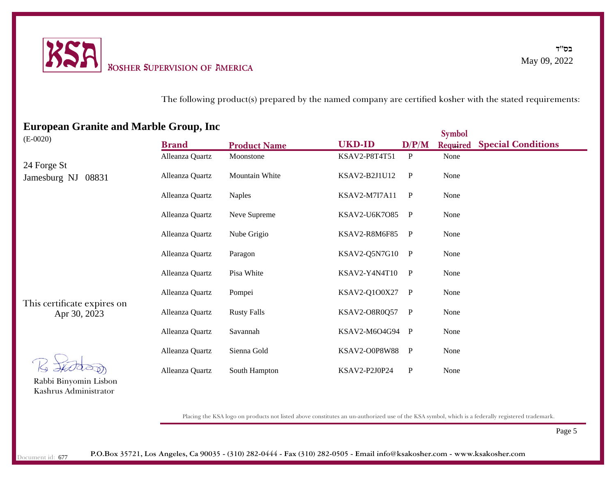

The following product(s) prepared by the named company are certified kosher with the stated requirements:

|                                             | $\blacksquare$  |                     |                      |              | <b>Symbol</b>   |                           |
|---------------------------------------------|-----------------|---------------------|----------------------|--------------|-----------------|---------------------------|
| $(E-0020)$                                  | <b>Brand</b>    | <b>Product Name</b> | <b>UKD-ID</b>        | D/P/M        | <b>Required</b> | <b>Special Conditions</b> |
|                                             | Alleanza Quartz | Moonstone           | KSAV2-P8T4T51        | $\mathbf{P}$ | None            |                           |
| 24 Forge St<br>08831<br>Jamesburg NJ        | Alleanza Quartz | Mountain White      | KSAV2-B2J1U12        | $\mathbf{P}$ | None            |                           |
|                                             | Alleanza Quartz | <b>Naples</b>       | <b>KSAV2-M7I7A11</b> | $\mathbf{P}$ | None            |                           |
|                                             | Alleanza Quartz | Neve Supreme        | KSAV2-U6K7O85        | $\mathbf{P}$ | None            |                           |
|                                             | Alleanza Quartz | Nube Grigio         | KSAV2-R8M6F85        | $\mathbf{P}$ | None            |                           |
|                                             | Alleanza Quartz | Paragon             | KSAV2-Q5N7G10        | $\mathbf{P}$ | None            |                           |
|                                             | Alleanza Quartz | Pisa White          | KSAV2-Y4N4T10        | $\mathbf{P}$ | None            |                           |
| This certificate expires on<br>Apr 30, 2023 | Alleanza Quartz | Pompei              | KSAV2-Q1O0X27        | $\mathbf{P}$ | None            |                           |
|                                             | Alleanza Quartz | <b>Rusty Falls</b>  | KSAV2-O8R0Q57        | $\mathbf{P}$ | None            |                           |
|                                             | Alleanza Quartz | Savannah            | KSAV2-M6O4G94 P      |              | None            |                           |
|                                             | Alleanza Quartz | Sienna Gold         | <b>KSAV2-O0P8W88</b> | $\mathbf{P}$ | None            |                           |
|                                             | Alleanza Quartz | South Hampton       | KSAV2-P2J0P24        | $\mathbf P$  | None            |                           |

# **European Granite and Marble Group, Inc**

Rabbi Binyomin Lisbon Kashrus Administrator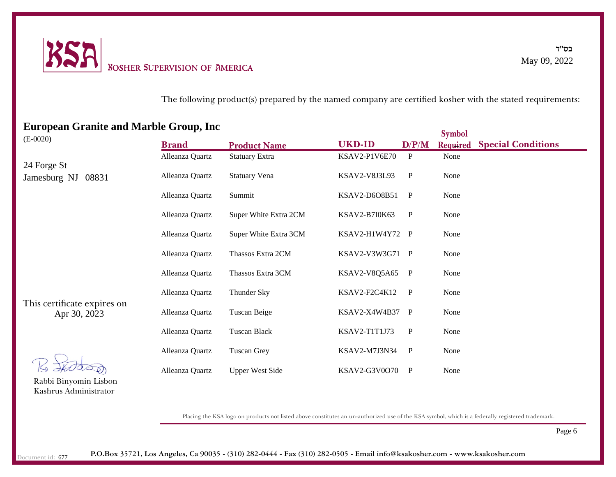

The following product(s) prepared by the named company are certified kosher with the stated requirements:

| European Gramic and marbic Group, me        |                 |                        |                      |              | <b>Symbol</b>   |                           |
|---------------------------------------------|-----------------|------------------------|----------------------|--------------|-----------------|---------------------------|
| $(E-0020)$                                  | <b>Brand</b>    | <b>Product Name</b>    | <b>UKD-ID</b>        | D/P/M        | <b>Required</b> | <b>Special Conditions</b> |
|                                             | Alleanza Quartz | <b>Statuary Extra</b>  | KSAV2-P1V6E70        | $\mathbf{P}$ | None            |                           |
| 24 Forge St<br>Jamesburg NJ<br>08831        | Alleanza Quartz | <b>Statuary Vena</b>   | KSAV2-V8J3L93        | $\mathbf{P}$ | None            |                           |
|                                             | Alleanza Quartz | Summit                 | KSAV2-D6O8B51        | $\mathbf{P}$ | None            |                           |
|                                             | Alleanza Quartz | Super White Extra 2CM  | <b>KSAV2-B7I0K63</b> | P            | None            |                           |
|                                             | Alleanza Quartz | Super White Extra 3CM  | KSAV2-H1W4Y72 P      |              | None            |                           |
|                                             | Alleanza Quartz | Thassos Extra 2CM      | KSAV2-V3W3G71 P      |              | None            |                           |
| This certificate expires on<br>Apr 30, 2023 | Alleanza Quartz | Thassos Extra 3CM      | KSAV2-V8Q5A65        | $\mathbf{P}$ | None            |                           |
|                                             | Alleanza Quartz | Thunder Sky            | KSAV2-F2C4K12        | $\mathbf{P}$ | None            |                           |
|                                             | Alleanza Quartz | Tuscan Beige           | KSAV2-X4W4B37        | $\mathbf{P}$ | None            |                           |
|                                             | Alleanza Quartz | <b>Tuscan Black</b>    | KSAV2-T1T1J73        | P            | None            |                           |
|                                             | Alleanza Quartz | <b>Tuscan Grey</b>     | KSAV2-M7J3N34        | $\mathbf P$  | None            |                           |
|                                             | Alleanza Quartz | <b>Upper West Side</b> | KSAV2-G3V0O70        | P            | None            |                           |

# **European Granite and Marble Group, Inc**

Rabbi Binyomin Lisbon Kashrus Administrator